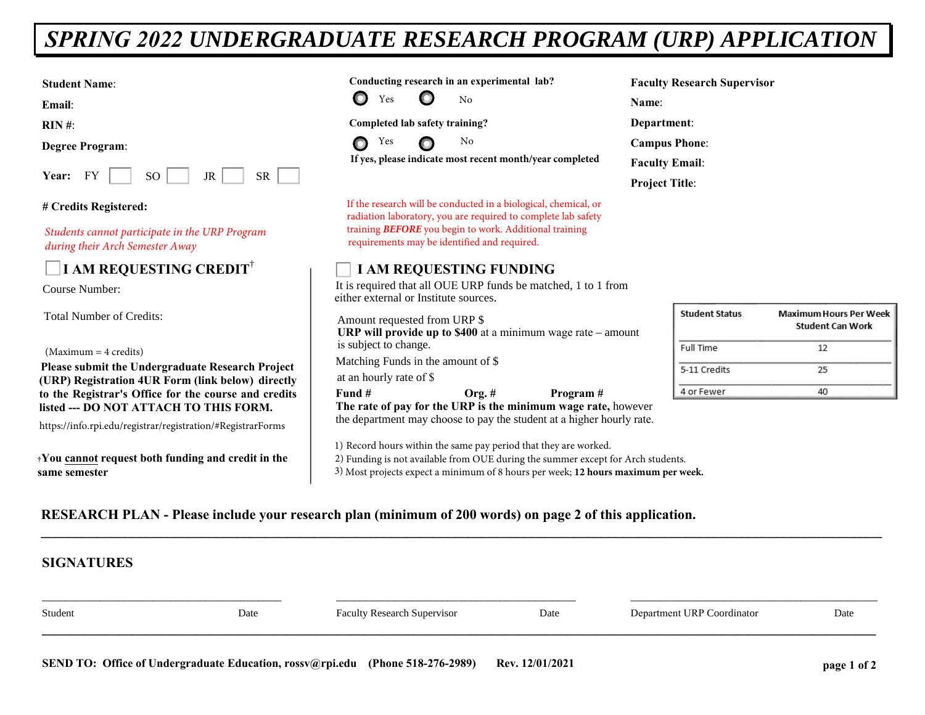# *SPRING 2022 UNDERGRADUATE RESEARCH PROGRAM (URP) APPLICATION*

**Student Name**:

**Email**:

**RIN #**:

**Degree Program**:

| Year: |  | SС |  | SR |  |
|-------|--|----|--|----|--|
|-------|--|----|--|----|--|

#### **# Credits Registered:**

*Students cannot participate in the URP Program during their Arch Semester Away*

# **I AM REQUESTING CREDIT**†

Course Number:

Total Number of Credits:

(Maximum = 4 credits)

**Please submit the Undergraduate Research Project (URP) Registration 4UR Form (link below) directly to the Registrar's Office for the course and credits listed --- DO NOT ATTACH TO THIS FORM.**

https://info.rpi.edu/registrar/registration/#RegistrarForms

**†You cannot request both funding and credit in the same semester**

**Conducting research in an experimental lab?**



**Completed lab safety training?**



 **If yes, please indicate most recent month/year completed**

If the research will be conducted in a biological, chemical, or radiation laboratory, you are required to complete lab safety training *BEFORE* you begin to work. Additional training requirements may be identified and required.

## **I AM REQUESTING FUNDING**

It is required that all OUE URP funds be matched, 1 to 1 from either external or Institute sources.

Amount requested from URP \$ **URP will provide up to \$400** at a minimum wage rate – amount is subject to change.

Matching Funds in the amount of \$

at an hourly rate of \$

**Fund # Org. # Program # The rate of pay for the URP is the minimum wage rate,** however the department may choose to pay the student at a higher hourly rate.

1) Record hours within the same pay period that they are worked.

2) Funding is not available from OUE during the summer except for Arch students.

3) Most projects expect a minimum of 8 hours per week; **12 hours maximum per week.**

**Faculty Research Supervisor Name**: **Department**: **Campus Phone**: **Faculty Email**: **Project Title**:

| <b>Student Status</b> | <b>Maximum Hours Per Week</b><br><b>Student Can Work</b> |  |  |
|-----------------------|----------------------------------------------------------|--|--|
| Full Time             | 12                                                       |  |  |
| 5-11 Credits          | 25                                                       |  |  |
| 4 or Fewer            |                                                          |  |  |

## **RESEARCH PLAN - Please include your research plan (minimum of 200 words) on page 2 of this application.**

| <b>SIGNATURES</b> |      |                                    |      |                            |      |
|-------------------|------|------------------------------------|------|----------------------------|------|
| Student           | Date | <b>Faculty Research Supervisor</b> | Date | Department URP Coordinator | Date |
|                   |      |                                    |      |                            |      |

**\_\_\_\_\_\_\_\_\_\_\_\_\_\_\_\_\_\_\_\_\_\_\_\_\_\_\_\_\_\_\_\_\_\_\_\_\_\_\_\_\_\_\_\_\_\_\_\_\_\_\_\_\_\_\_\_\_\_\_\_\_\_\_\_\_\_\_\_\_\_\_\_\_\_\_\_\_\_\_\_\_\_\_\_\_\_\_\_\_\_\_\_\_\_\_\_\_\_\_\_\_\_\_\_\_\_\_\_\_\_\_\_\_\_\_\_\_\_\_\_**